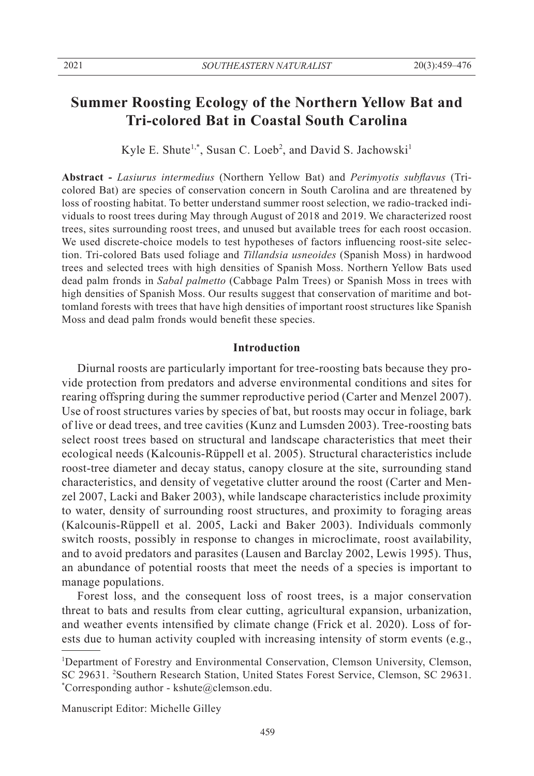# **Summer Roosting Ecology of the Northern Yellow Bat and Tri-colored Bat in Coastal South Carolina**

Kyle E. Shute<sup>1,\*</sup>, Susan C. Loeb<sup>2</sup>, and David S. Jachowski<sup>1</sup>

**Abstract -** *Lasiurus intermedius* (Northern Yellow Bat) and *Perimyotis subflavus* (Tricolored Bat) are species of conservation concern in South Carolina and are threatened by loss of roosting habitat. To better understand summer roost selection, we radio-tracked individuals to roost trees during May through August of 2018 and 2019. We characterized roost trees, sites surrounding roost trees, and unused but available trees for each roost occasion. We used discrete-choice models to test hypotheses of factors influencing roost-site selection. Tri-colored Bats used foliage and *Tillandsia usneoides* (Spanish Moss) in hardwood trees and selected trees with high densities of Spanish Moss. Northern Yellow Bats used dead palm fronds in *Sabal palmetto* (Cabbage Palm Trees) or Spanish Moss in trees with high densities of Spanish Moss. Our results suggest that conservation of maritime and bottomland forests with trees that have high densities of important roost structures like Spanish Moss and dead palm fronds would benefit these species.

## **Introduction**

 Diurnal roosts are particularly important for tree-roosting bats because they provide protection from predators and adverse environmental conditions and sites for rearing offspring during the summer reproductive period (Carter and Menzel 2007). Use of roost structures varies by species of bat, but roosts may occur in foliage, bark of live or dead trees, and tree cavities (Kunz and Lumsden 2003). Tree-roosting bats select roost trees based on structural and landscape characteristics that meet their ecological needs (Kalcounis-Rüppell et al. 2005). Structural characteristics include roost-tree diameter and decay status, canopy closure at the site, surrounding stand characteristics, and density of vegetative clutter around the roost (Carter and Menzel 2007, Lacki and Baker 2003), while landscape characteristics include proximity to water, density of surrounding roost structures, and proximity to foraging areas (Kalcounis-Rüppell et al. 2005, Lacki and Baker 2003). Individuals commonly switch roosts, possibly in response to changes in microclimate, roost availability, and to avoid predators and parasites (Lausen and Barclay 2002, Lewis 1995). Thus, an abundance of potential roosts that meet the needs of a species is important to manage populations.

 Forest loss, and the consequent loss of roost trees, is a major conservation threat to bats and results from clear cutting, agricultural expansion, urbanization, and weather events intensified by climate change (Frick et al. 2020). Loss of forests due to human activity coupled with increasing intensity of storm events (e.g.,

Manuscript Editor: Michelle Gilley

<sup>&</sup>lt;sup>1</sup>Department of Forestry and Environmental Conservation, Clemson University, Clemson, SC 29631. <sup>2</sup>Southern Research Station, United States Forest Service, Clemson, SC 29631. Corresponding author - kshute@clemson.edu.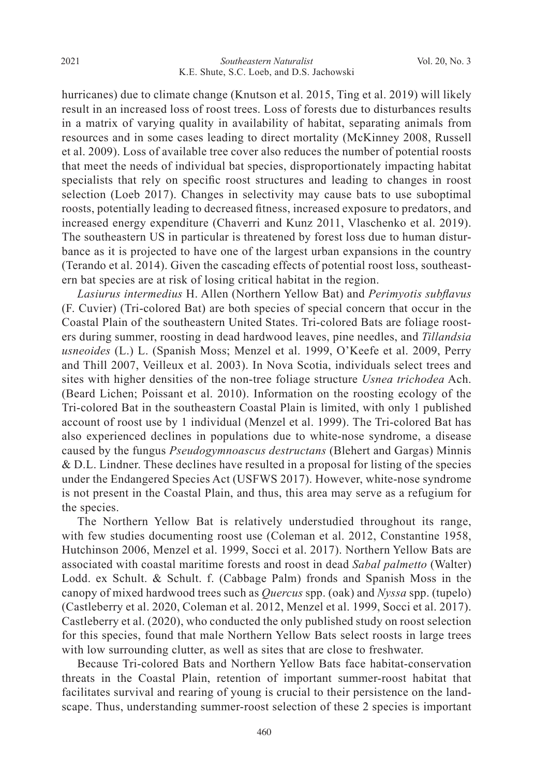hurricanes) due to climate change (Knutson et al. 2015, Ting et al. 2019) will likely result in an increased loss of roost trees. Loss of forests due to disturbances results in a matrix of varying quality in availability of habitat, separating animals from resources and in some cases leading to direct mortality (McKinney 2008, Russell et al. 2009). Loss of available tree cover also reduces the number of potential roosts that meet the needs of individual bat species, disproportionately impacting habitat specialists that rely on specific roost structures and leading to changes in roost selection (Loeb 2017). Changes in selectivity may cause bats to use suboptimal roosts, potentially leading to decreased fitness, increased exposure to predators, and increased energy expenditure (Chaverri and Kunz 2011, Vlaschenko et al. 2019). The southeastern US in particular is threatened by forest loss due to human disturbance as it is projected to have one of the largest urban expansions in the country (Terando et al. 2014). Given the cascading effects of potential roost loss, southeastern bat species are at risk of losing critical habitat in the region.

 *Lasiurus intermedius* H. Allen (Northern Yellow Bat) and *Perimyotis subflavus* (F. Cuvier) (Tri-colored Bat) are both species of special concern that occur in the Coastal Plain of the southeastern United States. Tri-colored Bats are foliage roosters during summer, roosting in dead hardwood leaves, pine needles, and *Tillandsia usneoides* (L.) L. (Spanish Moss; Menzel et al. 1999, O'Keefe et al. 2009, Perry and Thill 2007, Veilleux et al. 2003). In Nova Scotia, individuals select trees and sites with higher densities of the non-tree foliage structure *Usnea trichodea* Ach. (Beard Lichen; Poissant et al. 2010). Information on the roosting ecology of the Tri-colored Bat in the southeastern Coastal Plain is limited, with only 1 published account of roost use by 1 individual (Menzel et al. 1999). The Tri-colored Bat has also experienced declines in populations due to white-nose syndrome, a disease caused by the fungus *Pseudogymnoascus destructans* (Blehert and Gargas) Minnis & D.L. Lindner. These declines have resulted in a proposal for listing of the species under the Endangered Species Act (USFWS 2017). However, white-nose syndrome is not present in the Coastal Plain, and thus, this area may serve as a refugium for the species.

 The Northern Yellow Bat is relatively understudied throughout its range, with few studies documenting roost use (Coleman et al. 2012, Constantine 1958, Hutchinson 2006, Menzel et al. 1999, Socci et al. 2017). Northern Yellow Bats are associated with coastal maritime forests and roost in dead *Sabal palmetto* (Walter) Lodd. ex Schult. & Schult. f. (Cabbage Palm) fronds and Spanish Moss in the canopy of mixed hardwood trees such as *Quercus* spp. (oak) and *Nyssa* spp. (tupelo) (Castleberry et al. 2020, Coleman et al. 2012, Menzel et al. 1999, Socci et al. 2017). Castleberry et al. (2020), who conducted the only published study on roost selection for this species, found that male Northern Yellow Bats select roosts in large trees with low surrounding clutter, as well as sites that are close to freshwater.

 Because Tri-colored Bats and Northern Yellow Bats face habitat-conservation threats in the Coastal Plain, retention of important summer-roost habitat that facilitates survival and rearing of young is crucial to their persistence on the landscape. Thus, understanding summer-roost selection of these 2 species is important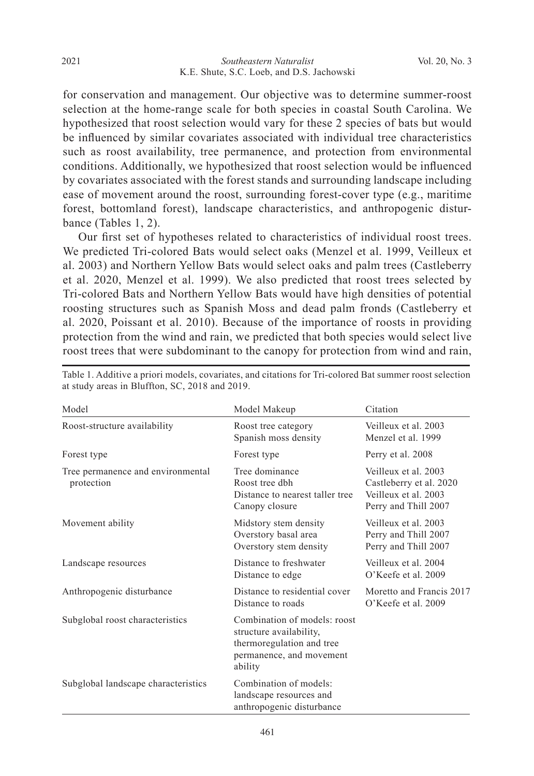for conservation and management. Our objective was to determine summer-roost selection at the home-range scale for both species in coastal South Carolina. We hypothesized that roost selection would vary for these 2 species of bats but would be influenced by similar covariates associated with individual tree characteristics such as roost availability, tree permanence, and protection from environmental conditions. Additionally, we hypothesized that roost selection would be influenced by covariates associated with the forest stands and surrounding landscape including ease of movement around the roost, surrounding forest-cover type (e.g., maritime forest, bottomland forest), landscape characteristics, and anthropogenic disturbance (Tables 1, 2).

 Our first set of hypotheses related to characteristics of individual roost trees. We predicted Tri-colored Bats would select oaks (Menzel et al. 1999, Veilleux et al. 2003) and Northern Yellow Bats would select oaks and palm trees (Castleberry et al. 2020, Menzel et al. 1999). We also predicted that roost trees selected by Tri-colored Bats and Northern Yellow Bats would have high densities of potential roosting structures such as Spanish Moss and dead palm fronds (Castleberry et al. 2020, Poissant et al. 2010). Because of the importance of roosts in providing protection from the wind and rain, we predicted that both species would select live roost trees that were subdominant to the canopy for protection from wind and rain,

| Model                                           | Model Makeup                                                                                                                | Citation                                                                                        |
|-------------------------------------------------|-----------------------------------------------------------------------------------------------------------------------------|-------------------------------------------------------------------------------------------------|
| Roost-structure availability                    | Roost tree category<br>Spanish moss density                                                                                 | Veilleux et al. 2003<br>Menzel et al. 1999                                                      |
| Forest type                                     | Forest type                                                                                                                 | Perry et al. 2008                                                                               |
| Tree permanence and environmental<br>protection | Tree dominance<br>Roost tree dbh<br>Distance to nearest taller tree<br>Canopy closure                                       | Veilleux et al. 2003<br>Castleberry et al. 2020<br>Veilleux et al. 2003<br>Perry and Thill 2007 |
| Movement ability                                | Midstory stem density<br>Overstory basal area<br>Overstory stem density                                                     | Veilleux et al. 2003<br>Perry and Thill 2007<br>Perry and Thill 2007                            |
| Landscape resources                             | Distance to freshwater<br>Distance to edge                                                                                  | Veilleux et al. 2004<br>O'Keefe et al. 2009                                                     |
| Anthropogenic disturbance                       | Distance to residential cover<br>Distance to roads                                                                          | Moretto and Francis 2017<br>O'Keefe et al. 2009                                                 |
| Subglobal roost characteristics                 | Combination of models: roost<br>structure availability,<br>thermoregulation and tree<br>permanence, and movement<br>ability |                                                                                                 |
| Subglobal landscape characteristics             | Combination of models:<br>landscape resources and<br>anthropogenic disturbance                                              |                                                                                                 |

Table 1. Additive a priori models, covariates, and citations for Tri-colored Bat summer roost selection at study areas in Bluffton, SC, 2018 and 2019.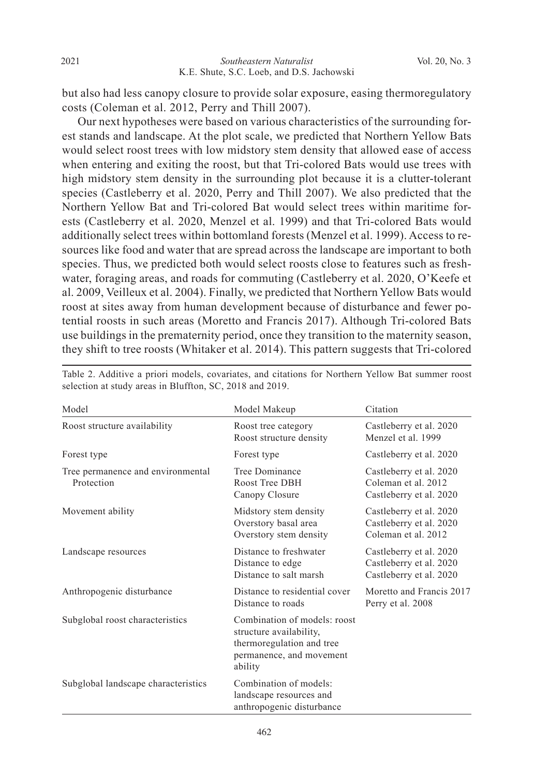but also had less canopy closure to provide solar exposure, easing thermoregulatory costs (Coleman et al. 2012, Perry and Thill 2007).

 Our next hypotheses were based on various characteristics of the surrounding forest stands and landscape. At the plot scale, we predicted that Northern Yellow Bats would select roost trees with low midstory stem density that allowed ease of access when entering and exiting the roost, but that Tri-colored Bats would use trees with high midstory stem density in the surrounding plot because it is a clutter-tolerant species (Castleberry et al. 2020, Perry and Thill 2007). We also predicted that the Northern Yellow Bat and Tri-colored Bat would select trees within maritime forests (Castleberry et al. 2020, Menzel et al. 1999) and that Tri-colored Bats would additionally select trees within bottomland forests (Menzel et al. 1999). Access to resources like food and water that are spread across the landscape are important to both species. Thus, we predicted both would select roosts close to features such as freshwater, foraging areas, and roads for commuting (Castleberry et al. 2020, O'Keefe et al. 2009, Veilleux et al. 2004). Finally, we predicted that Northern Yellow Bats would roost at sites away from human development because of disturbance and fewer potential roosts in such areas (Moretto and Francis 2017). Although Tri-colored Bats use buildings in the prematernity period, once they transition to the maternity season, they shift to tree roosts (Whitaker et al. 2014). This pattern suggests that Tri-colored

| Model                                           | Model Makeup                                                                                                                | Citation                                                                      |
|-------------------------------------------------|-----------------------------------------------------------------------------------------------------------------------------|-------------------------------------------------------------------------------|
| Roost structure availability                    | Roost tree category<br>Roost structure density                                                                              | Castleberry et al. 2020<br>Menzel et al. 1999                                 |
| Forest type                                     | Forest type                                                                                                                 | Castleberry et al. 2020                                                       |
| Tree permanence and environmental<br>Protection | Tree Dominance<br>Roost Tree DBH<br>Canopy Closure                                                                          | Castleberry et al. 2020<br>Coleman et al. 2012<br>Castleberry et al. 2020     |
| Movement ability                                | Midstory stem density<br>Overstory basal area<br>Overstory stem density                                                     | Castleberry et al. 2020<br>Castleberry et al. 2020<br>Coleman et al. 2012     |
| Landscape resources                             | Distance to freshwater<br>Distance to edge<br>Distance to salt marsh                                                        | Castleberry et al. 2020<br>Castleberry et al. 2020<br>Castleberry et al. 2020 |
| Anthropogenic disturbance                       | Distance to residential cover<br>Distance to roads                                                                          | Moretto and Francis 2017<br>Perry et al. 2008                                 |
| Subglobal roost characteristics                 | Combination of models: roost<br>structure availability,<br>thermoregulation and tree<br>permanence, and movement<br>ability |                                                                               |
| Subglobal landscape characteristics             | Combination of models:<br>landscape resources and<br>anthropogenic disturbance                                              |                                                                               |

Table 2. Additive a priori models, covariates, and citations for Northern Yellow Bat summer roost selection at study areas in Bluffton, SC, 2018 and 2019.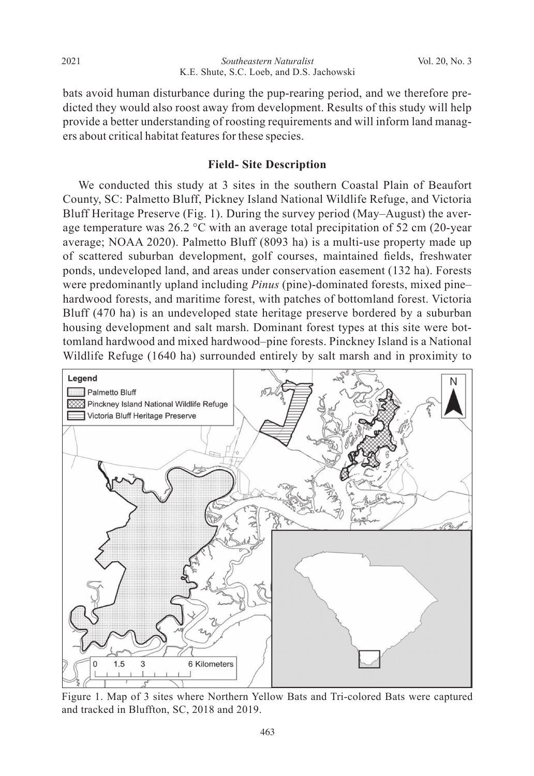bats avoid human disturbance during the pup-rearing period, and we therefore predicted they would also roost away from development. Results of this study will help provide a better understanding of roosting requirements and will inform land managers about critical habitat features for these species.

# **Field- Site Description**

 We conducted this study at 3 sites in the southern Coastal Plain of Beaufort County, SC: Palmetto Bluff, Pickney Island National Wildlife Refuge, and Victoria Bluff Heritage Preserve (Fig. 1). During the survey period (May–August) the average temperature was 26.2  $\degree$ C with an average total precipitation of 52 cm (20-year average; NOAA 2020). Palmetto Bluff (8093 ha) is a multi-use property made up of scattered suburban development, golf courses, maintained fields, freshwater ponds, undeveloped land, and areas under conservation easement (132 ha). Forests were predominantly upland including *Pinus* (pine)-dominated forests, mixed pine– hardwood forests, and maritime forest, with patches of bottomland forest. Victoria Bluff (470 ha) is an undeveloped state heritage preserve bordered by a suburban housing development and salt marsh. Dominant forest types at this site were bottomland hardwood and mixed hardwood–pine forests. Pinckney Island is a National Wildlife Refuge (1640 ha) surrounded entirely by salt marsh and in proximity to



Figure 1. Map of 3 sites where Northern Yellow Bats and Tri-colored Bats were captured and tracked in Bluffton, SC, 2018 and 2019.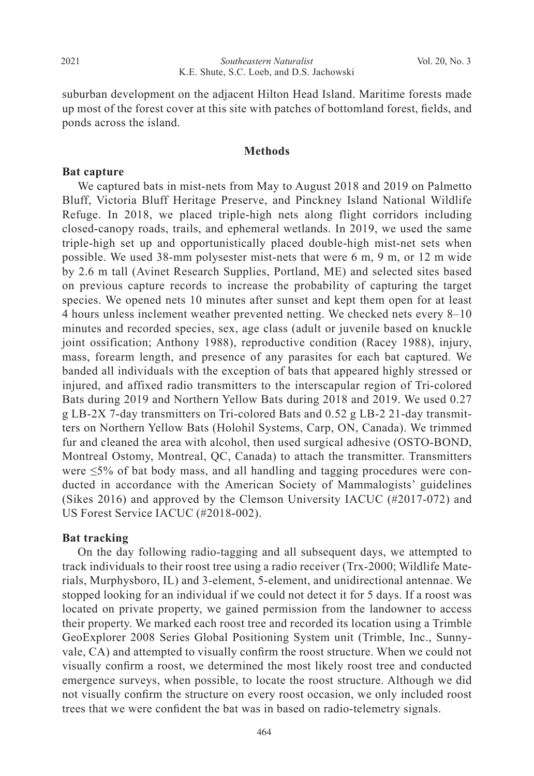suburban development on the adjacent Hilton Head Island. Maritime forests made up most of the forest cover at this site with patches of bottomland forest, fields, and ponds across the island.

## **Methods**

## **Bat capture**

 We captured bats in mist-nets from May to August 2018 and 2019 on Palmetto Bluff, Victoria Bluff Heritage Preserve, and Pinckney Island National Wildlife Refuge. In 2018, we placed triple-high nets along flight corridors including closed-canopy roads, trails, and ephemeral wetlands. In 2019, we used the same triple-high set up and opportunistically placed double-high mist-net sets when possible. We used 38-mm polysester mist-nets that were 6 m, 9 m, or 12 m wide by 2.6 m tall (Avinet Research Supplies, Portland, ME) and selected sites based on previous capture records to increase the probability of capturing the target species. We opened nets 10 minutes after sunset and kept them open for at least 4 hours unless inclement weather prevented netting. We checked nets every 8–10 minutes and recorded species, sex, age class (adult or juvenile based on knuckle joint ossification; Anthony 1988), reproductive condition (Racey 1988), injury, mass, forearm length, and presence of any parasites for each bat captured. We banded all individuals with the exception of bats that appeared highly stressed or injured, and affixed radio transmitters to the interscapular region of Tri-colored Bats during 2019 and Northern Yellow Bats during 2018 and 2019. We used 0.27 g LB-2X 7-day transmitters on Tri-colored Bats and 0.52 g LB-2 21-day transmitters on Northern Yellow Bats (Holohil Systems, Carp, ON, Canada). We trimmed fur and cleaned the area with alcohol, then used surgical adhesive (OSTO-BOND, Montreal Ostomy, Montreal, QC, Canada) to attach the transmitter. Transmitters were ≤5% of bat body mass, and all handling and tagging procedures were conducted in accordance with the American Society of Mammalogists' guidelines (Sikes 2016) and approved by the Clemson University IACUC (#2017-072) and US Forest Service IACUC (#2018-002).

## **Bat tracking**

 On the day following radio-tagging and all subsequent days, we attempted to track individuals to their roost tree using a radio receiver (Trx-2000; Wildlife Materials, Murphysboro, IL) and 3-element, 5-element, and unidirectional antennae. We stopped looking for an individual if we could not detect it for 5 days. If a roost was located on private property, we gained permission from the landowner to access their property. We marked each roost tree and recorded its location using a Trimble GeoExplorer 2008 Series Global Positioning System unit (Trimble, Inc., Sunnyvale, CA) and attempted to visually confirm the roost structure. When we could not visually confirm a roost, we determined the most likely roost tree and conducted emergence surveys, when possible, to locate the roost structure. Although we did not visually confirm the structure on every roost occasion, we only included roost trees that we were confident the bat was in based on radio-telemetry signals.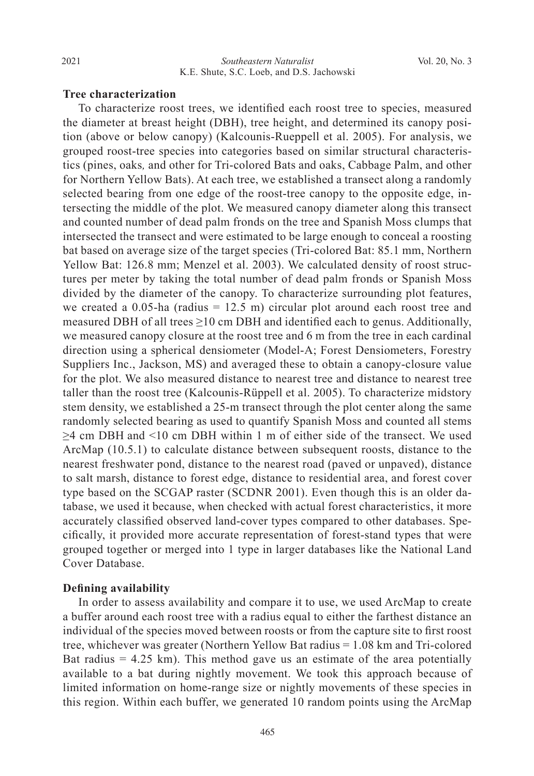# **Tree characterization**

 To characterize roost trees, we identified each roost tree to species, measured the diameter at breast height (DBH), tree height, and determined its canopy position (above or below canopy) (Kalcounis-Rueppell et al. 2005). For analysis, we grouped roost-tree species into categories based on similar structural characteristics (pines, oaks*,* and other for Tri-colored Bats and oaks, Cabbage Palm, and other for Northern Yellow Bats). At each tree, we established a transect along a randomly selected bearing from one edge of the roost-tree canopy to the opposite edge, intersecting the middle of the plot. We measured canopy diameter along this transect and counted number of dead palm fronds on the tree and Spanish Moss clumps that intersected the transect and were estimated to be large enough to conceal a roosting bat based on average size of the target species (Tri-colored Bat: 85.1 mm, Northern Yellow Bat: 126.8 mm; Menzel et al. 2003). We calculated density of roost structures per meter by taking the total number of dead palm fronds or Spanish Moss divided by the diameter of the canopy. To characterize surrounding plot features, we created a 0.05-ha (radius  $= 12.5$  m) circular plot around each roost tree and measured DBH of all trees  $\geq 10$  cm DBH and identified each to genus. Additionally, we measured canopy closure at the roost tree and 6 m from the tree in each cardinal direction using a spherical densiometer (Model-A; Forest Densiometers, Forestry Suppliers Inc., Jackson, MS) and averaged these to obtain a canopy-closure value for the plot. We also measured distance to nearest tree and distance to nearest tree taller than the roost tree (Kalcounis-Rüppell et al. 2005). To characterize midstory stem density, we established a 25-m transect through the plot center along the same randomly selected bearing as used to quantify Spanish Moss and counted all stems ≥4 cm DBH and <10 cm DBH within 1 m of either side of the transect. We used ArcMap (10.5.1) to calculate distance between subsequent roosts, distance to the nearest freshwater pond, distance to the nearest road (paved or unpaved), distance to salt marsh, distance to forest edge, distance to residential area, and forest cover type based on the SCGAP raster (SCDNR 2001). Even though this is an older database, we used it because, when checked with actual forest characteristics, it more accurately classified observed land-cover types compared to other databases. Specifically, it provided more accurate representation of forest-stand types that were grouped together or merged into 1 type in larger databases like the National Land Cover Database.

#### **Defining availability**

 In order to assess availability and compare it to use, we used ArcMap to create a buffer around each roost tree with a radius equal to either the farthest distance an individual of the species moved between roosts or from the capture site to first roost tree, whichever was greater (Northern Yellow Bat radius = 1.08 km and Tri-colored Bat radius  $= 4.25$  km). This method gave us an estimate of the area potentially available to a bat during nightly movement. We took this approach because of limited information on home-range size or nightly movements of these species in this region. Within each buffer, we generated 10 random points using the ArcMap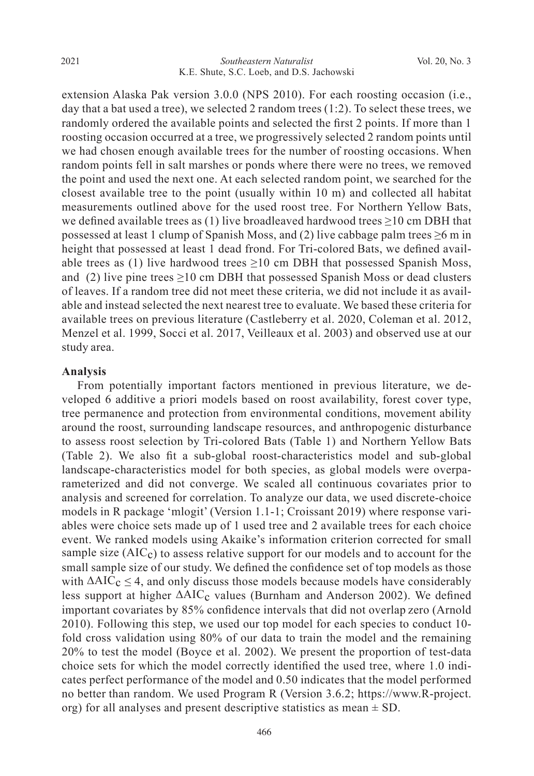extension Alaska Pak version 3.0.0 (NPS 2010). For each roosting occasion (i.e., day that a bat used a tree), we selected 2 random trees  $(1:2)$ . To select these trees, we randomly ordered the available points and selected the first 2 points. If more than 1 roosting occasion occurred at a tree, we progressively selected 2 random points until we had chosen enough available trees for the number of roosting occasions. When random points fell in salt marshes or ponds where there were no trees, we removed the point and used the next one. At each selected random point, we searched for the closest available tree to the point (usually within 10 m) and collected all habitat measurements outlined above for the used roost tree. For Northern Yellow Bats, we defined available trees as (1) live broadleaved hardwood trees  $\geq$ 10 cm DBH that possessed at least 1 clump of Spanish Moss, and (2) live cabbage palm trees  $\geq 6$  m in height that possessed at least 1 dead frond. For Tri-colored Bats, we defined available trees as (1) live hardwood trees  $\geq 10$  cm DBH that possessed Spanish Moss, and (2) live pine trees  $\geq 10$  cm DBH that possessed Spanish Moss or dead clusters of leaves. If a random tree did not meet these criteria, we did not include it as available and instead selected the next nearest tree to evaluate. We based these criteria for available trees on previous literature (Castleberry et al. 2020, Coleman et al. 2012, Menzel et al. 1999, Socci et al. 2017, Veilleaux et al. 2003) and observed use at our study area.

#### **Analysis**

 From potentially important factors mentioned in previous literature, we developed 6 additive a priori models based on roost availability, forest cover type, tree permanence and protection from environmental conditions, movement ability around the roost, surrounding landscape resources, and anthropogenic disturbance to assess roost selection by Tri-colored Bats (Table 1) and Northern Yellow Bats (Table 2). We also fit a sub-global roost-characteristics model and sub-global landscape-characteristics model for both species, as global models were overparameterized and did not converge. We scaled all continuous covariates prior to analysis and screened for correlation. To analyze our data, we used discrete-choice models in R package 'mlogit' (Version 1.1-1; Croissant 2019) where response variables were choice sets made up of 1 used tree and 2 available trees for each choice event. We ranked models using Akaike's information criterion corrected for small sample size  $(AIC<sub>c</sub>)$  to assess relative support for our models and to account for the small sample size of our study. We defined the confidence set of top models as those with  $\Delta AIC_c \leq 4$ , and only discuss those models because models have considerably less support at higher ΔAIC<sub>c</sub> values (Burnham and Anderson 2002). We defined important covariates by 85% confidence intervals that did not overlap zero (Arnold 2010). Following this step, we used our top model for each species to conduct 10 fold cross validation using 80% of our data to train the model and the remaining 20% to test the model (Boyce et al. 2002). We present the proportion of test-data choice sets for which the model correctly identified the used tree, where 1.0 indicates perfect performance of the model and 0.50 indicates that the model performed no better than random. We used Program R (Version 3.6.2; https://www.R-project. org) for all analyses and present descriptive statistics as mean  $\pm$  SD.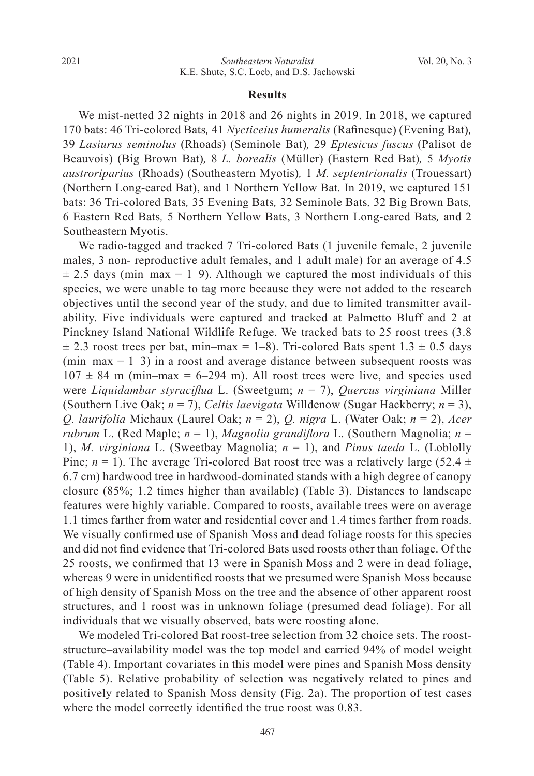#### **Results**

We mist-netted 32 nights in 2018 and 26 nights in 2019. In 2018, we captured 170 bats: 46 Tri-colored Bats*,* 41 *Nycticeius humeralis* (Rafinesque) (Evening Bat)*,*  39 *Lasiurus seminolus* (Rhoads) (Seminole Bat)*,* 29 *Eptesicus fuscus* (Palisot de Beauvois) (Big Brown Bat)*,* 8 *L. borealis* (Müller) (Eastern Red Bat)*,* 5 *Myotis austroriparius* (Rhoads) (Southeastern Myotis)*,* 1 *M. septentrionalis* (Trouessart) (Northern Long-eared Bat), and 1 Northern Yellow Bat*.* In 2019, we captured 151 bats: 36 Tri-colored Bats*,* 35 Evening Bats*,* 32 Seminole Bats*,* 32 Big Brown Bats*,*  6 Eastern Red Bats*,* 5 Northern Yellow Bats, 3 Northern Long-eared Bats*,* and 2 Southeastern Myotis.

 We radio-tagged and tracked 7 Tri-colored Bats (1 juvenile female, 2 juvenile males, 3 non- reproductive adult females, and 1 adult male) for an average of 4.5  $\pm$  2.5 days (min–max = 1–9). Although we captured the most individuals of this species, we were unable to tag more because they were not added to the research objectives until the second year of the study, and due to limited transmitter availability. Five individuals were captured and tracked at Palmetto Bluff and 2 at Pinckney Island National Wildlife Refuge. We tracked bats to 25 roost trees (3.8  $\pm$  2.3 roost trees per bat, min–max = 1–8). Tri-colored Bats spent 1.3  $\pm$  0.5 days  $(\text{min-max} = 1-3)$  in a roost and average distance between subsequent roosts was  $107 \pm 84$  m (min–max = 6–294 m). All roost trees were live, and species used were *Liquidambar styraciflua* L. (Sweetgum; *n* = 7), *Quercus virginiana* Miller (Southern Live Oak; *n* = 7), *Celtis laevigata* Willdenow (Sugar Hackberry; *n* = 3), *Q. laurifolia* Michaux (Laurel Oak; *n* = 2), *Q. nigra* L. (Water Oak; *n* = 2), *Acer rubrum* L. (Red Maple; *n* = 1), *Magnolia grandiflora* L. (Southern Magnolia; *n* = 1), *M. virginiana* L. (Sweetbay Magnolia; *n* = 1), and *Pinus taeda* L. (Loblolly Pine;  $n = 1$ ). The average Tri-colored Bat roost tree was a relatively large (52.4  $\pm$ 6.7 cm) hardwood tree in hardwood-dominated stands with a high degree of canopy closure (85%; 1.2 times higher than available) (Table 3). Distances to landscape features were highly variable. Compared to roosts, available trees were on average 1.1 times farther from water and residential cover and 1.4 times farther from roads. We visually confirmed use of Spanish Moss and dead foliage roosts for this species and did not find evidence that Tri-colored Bats used roosts other than foliage. Of the 25 roosts, we confirmed that 13 were in Spanish Moss and 2 were in dead foliage, whereas 9 were in unidentified roosts that we presumed were Spanish Moss because of high density of Spanish Moss on the tree and the absence of other apparent roost structures, and 1 roost was in unknown foliage (presumed dead foliage). For all individuals that we visually observed, bats were roosting alone.

 We modeled Tri-colored Bat roost-tree selection from 32 choice sets. The rooststructure–availability model was the top model and carried 94% of model weight (Table 4). Important covariates in this model were pines and Spanish Moss density (Table 5). Relative probability of selection was negatively related to pines and positively related to Spanish Moss density (Fig. 2a). The proportion of test cases where the model correctly identified the true roost was 0.83.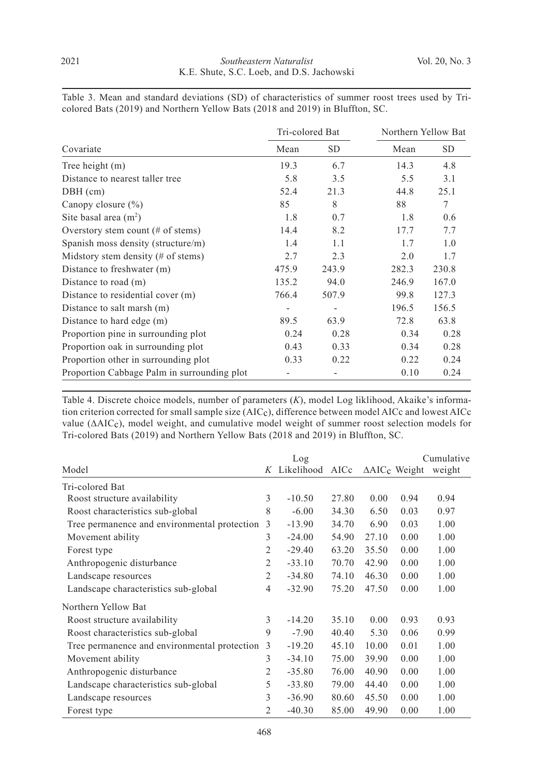|                                               | Tri-colored Bat |           | Northern Yellow Bat |       |  |
|-----------------------------------------------|-----------------|-----------|---------------------|-------|--|
| Covariate                                     | Mean            | <b>SD</b> | Mean                | SD.   |  |
| Tree height (m)                               | 19.3            | 6.7       | 14.3                | 4.8   |  |
| Distance to nearest taller tree               | 5.8             | 3.5       | 5.5                 | 3.1   |  |
| $DBH$ (cm)                                    | 52.4            | 21.3      | 44.8                | 25.1  |  |
| Canopy closure $(\% )$                        | 85              | 8         | 88                  | 7     |  |
| Site basal area $(m2)$                        | 1.8             | 0.7       | 1.8                 | 0.6   |  |
| Overstory stem count $(\# \text{ of stems})$  | 14.4            | 8.2       | 17.7                | 7.7   |  |
| Spanish moss density (structure/m)            | 1.4             | 1.1       | 1.7                 | 1.0   |  |
| Midstory stem density $(\# \text{ of stems})$ | 2.7             | 2.3       | 2.0                 | 1.7   |  |
| Distance to freshwater (m)                    | 475.9           | 243.9     | 282.3               | 230.8 |  |
| Distance to road (m)                          | 135.2           | 94.0      | 246.9               | 167.0 |  |
| Distance to residential cover (m)             | 766.4           | 507.9     | 99.8                | 127.3 |  |
| Distance to salt marsh (m)                    |                 |           | 196.5               | 156.5 |  |
| Distance to hard edge (m)                     | 89.5            | 63.9      | 72.8                | 63.8  |  |
| Proportion pine in surrounding plot           | 0.24            | 0.28      | 0.34                | 0.28  |  |
| Proportion oak in surrounding plot            | 0.43            | 0.33      | 0.34                | 0.28  |  |
| Proportion other in surrounding plot          | 0.33            | 0.22      | 0.22                | 0.24  |  |
| Proportion Cabbage Palm in surrounding plot   |                 |           | 0.10                | 0.24  |  |

Table 3. Mean and standard deviations (SD) of characteristics of summer roost trees used by Tricolored Bats (2019) and Northern Yellow Bats (2018 and 2019) in Bluffton, SC.

Table 4. Discrete choice models, number of parameters (*K*), model Log liklihood, Akaike's information criterion corrected for small sample size (AICc), difference between model AICc and lowest AICc value (∆AICc), model weight, and cumulative model weight of summer roost selection models for Tri-colored Bats (2019) and Northern Yellow Bats (2018 and 2019) in Bluffton, SC.

|                                              |                | Log        |       |       |                                     | Cumulative |
|----------------------------------------------|----------------|------------|-------|-------|-------------------------------------|------------|
| Model                                        | Κ              | Likelihood | AICc  |       | $\triangle$ AIC <sub>c</sub> Weight | weight     |
| Tri-colored Bat                              |                |            |       |       |                                     |            |
| Roost structure availability                 | 3              | $-10.50$   | 27.80 | 0.00  | 0.94                                | 0.94       |
| Roost characteristics sub-global             | 8              | $-6.00$    | 34.30 | 6.50  | 0.03                                | 0.97       |
| Tree permanence and environmental protection | 3              | $-13.90$   | 34.70 | 6.90  | 0.03                                | 1.00       |
| Movement ability                             | 3              | $-24.00$   | 54.90 | 27.10 | 0.00                                | 1.00       |
| Forest type                                  | $\overline{2}$ | $-29.40$   | 63.20 | 35.50 | 0.00                                | 1.00       |
| Anthropogenic disturbance                    | $\overline{2}$ | $-33.10$   | 70.70 | 42.90 | 0.00                                | 1.00       |
| Landscape resources                          | $\overline{2}$ | $-34.80$   | 74.10 | 46.30 | 0.00                                | 1.00       |
| Landscape characteristics sub-global         | 4              | $-32.90$   | 75.20 | 47.50 | 0.00                                | 1.00       |
| Northern Yellow Bat                          |                |            |       |       |                                     |            |
| Roost structure availability                 | 3              | $-14.20$   | 35.10 | 0.00  | 0.93                                | 0.93       |
| Roost characteristics sub-global             | 9              | $-7.90$    | 40.40 | 5.30  | 0.06                                | 0.99       |
| Tree permanence and environmental protection | 3              | $-19.20$   | 45.10 | 10.00 | 0.01                                | 1.00       |
| Movement ability                             | 3              | $-34.10$   | 75.00 | 39.90 | 0.00                                | 1.00       |
| Anthropogenic disturbance                    | $\overline{2}$ | $-35.80$   | 76.00 | 40.90 | 0.00                                | 1.00       |
| Landscape characteristics sub-global         | 5              | $-33.80$   | 79.00 | 44.40 | 0.00                                | 1.00       |
| Landscape resources                          | 3              | $-36.90$   | 80.60 | 45.50 | 0.00                                | 1.00       |
| Forest type                                  | $\overline{2}$ | $-40.30$   | 85.00 | 49.90 | 0.00                                | 1.00       |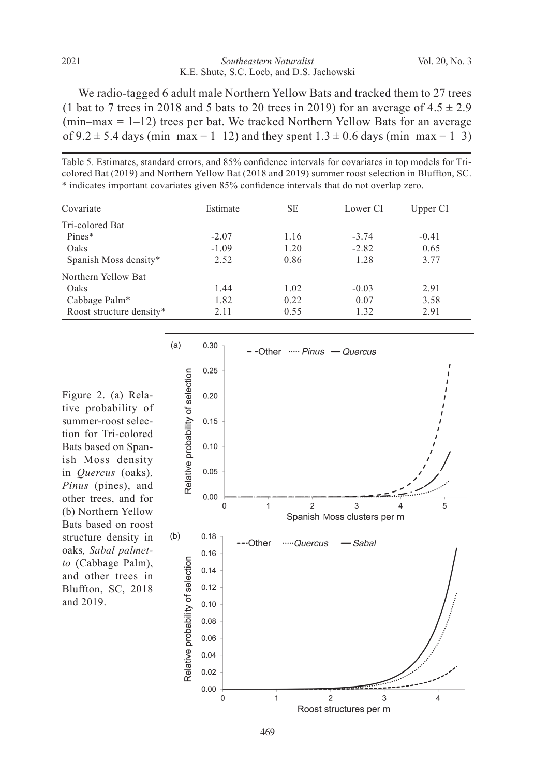We radio-tagged 6 adult male Northern Yellow Bats and tracked them to 27 trees (1 bat to 7 trees in 2018 and 5 bats to 20 trees in 2019) for an average of  $4.5 \pm 2.9$  $(\text{min-max} = 1-12)$  trees per bat. We tracked Northern Yellow Bats for an average of  $9.2 \pm 5.4$  days (min–max = 1–12) and they spent  $1.3 \pm 0.6$  days (min–max = 1–3)

Table 5. Estimates, standard errors, and 85% confidence intervals for covariates in top models for Tricolored Bat (2019) and Northern Yellow Bat (2018 and 2019) summer roost selection in Bluffton, SC. \* indicates important covariates given 85% confidence intervals that do not overlap zero.

| Covariate                | Estimate | SЕ   | Lower CI | Upper CI |
|--------------------------|----------|------|----------|----------|
| Tri-colored Bat          |          |      |          |          |
| Pines*                   | $-2.07$  | 1.16 | $-3.74$  | $-0.41$  |
| Oaks                     | $-1.09$  | 1.20 | $-2.82$  | 0.65     |
| Spanish Moss density*    | 2.52     | 0.86 | 1.28     | 3.77     |
| Northern Yellow Bat      |          |      |          |          |
| Oaks                     | 1.44     | 1.02 | $-0.03$  | 2.91     |
| Cabbage Palm*            | 1.82     | 0.22 | 0.07     | 3.58     |
| Roost structure density* | 2.11     | 0.55 | 1.32     | 2.91     |



Figure 2. (a) Relative probability of summer-roost selection for Tri-colored Bats based on Spanish Moss density in *Quercus* (oaks)*, Pinus* (pines), and other trees, and for (b) Northern Yellow Bats based on roost structure density in oaks*, Sabal palmetto* (Cabbage Palm), and other trees in Bluffton, SC, 2018 and 2019.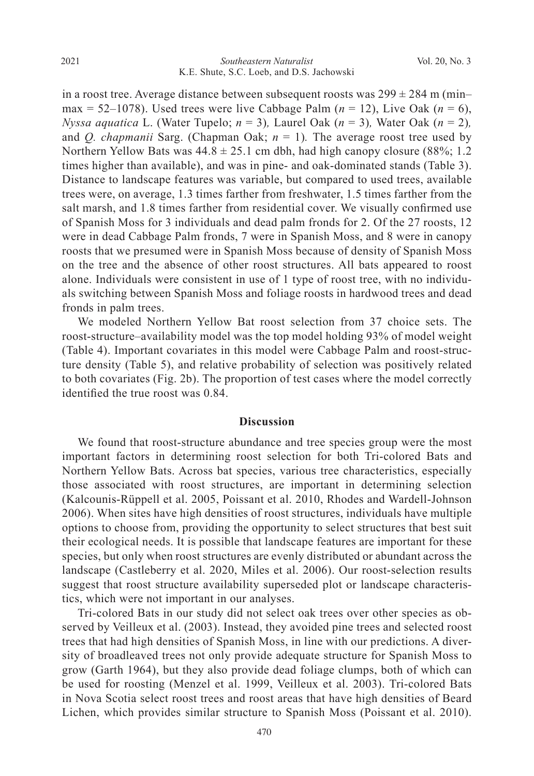in a roost tree. Average distance between subsequent roosts was  $299 \pm 284$  m (min– max = 52–1078). Used trees were live Cabbage Palm  $(n = 12)$ , Live Oak  $(n = 6)$ , *Nyssa aquatica* L. (Water Tupelo;  $n = 3$ ), Laurel Oak ( $n = 3$ ), Water Oak ( $n = 2$ ), and *Q. chapmanii* Sarg. (Chapman Oak;  $n = 1$ ). The average roost tree used by Northern Yellow Bats was  $44.8 \pm 25.1$  cm dbh, had high canopy closure (88%; 1.2) times higher than available), and was in pine- and oak-dominated stands (Table 3). Distance to landscape features was variable, but compared to used trees, available trees were, on average, 1.3 times farther from freshwater, 1.5 times farther from the salt marsh, and 1.8 times farther from residential cover. We visually confirmed use of Spanish Moss for 3 individuals and dead palm fronds for 2. Of the 27 roosts, 12 were in dead Cabbage Palm fronds, 7 were in Spanish Moss, and 8 were in canopy roosts that we presumed were in Spanish Moss because of density of Spanish Moss on the tree and the absence of other roost structures. All bats appeared to roost alone. Individuals were consistent in use of 1 type of roost tree, with no individuals switching between Spanish Moss and foliage roosts in hardwood trees and dead fronds in palm trees.

 We modeled Northern Yellow Bat roost selection from 37 choice sets. The roost-structure–availability model was the top model holding 93% of model weight (Table 4). Important covariates in this model were Cabbage Palm and roost-structure density (Table 5), and relative probability of selection was positively related to both covariates (Fig. 2b). The proportion of test cases where the model correctly identified the true roost was 0.84.

## **Discussion**

 We found that roost-structure abundance and tree species group were the most important factors in determining roost selection for both Tri-colored Bats and Northern Yellow Bats. Across bat species, various tree characteristics, especially those associated with roost structures, are important in determining selection (Kalcounis-Rüppell et al. 2005, Poissant et al. 2010, Rhodes and Wardell-Johnson 2006). When sites have high densities of roost structures, individuals have multiple options to choose from, providing the opportunity to select structures that best suit their ecological needs. It is possible that landscape features are important for these species, but only when roost structures are evenly distributed or abundant across the landscape (Castleberry et al. 2020, Miles et al. 2006). Our roost-selection results suggest that roost structure availability superseded plot or landscape characteristics, which were not important in our analyses.

 Tri-colored Bats in our study did not select oak trees over other species as observed by Veilleux et al. (2003). Instead, they avoided pine trees and selected roost trees that had high densities of Spanish Moss, in line with our predictions. A diversity of broadleaved trees not only provide adequate structure for Spanish Moss to grow (Garth 1964), but they also provide dead foliage clumps, both of which can be used for roosting (Menzel et al. 1999, Veilleux et al. 2003). Tri-colored Bats in Nova Scotia select roost trees and roost areas that have high densities of Beard Lichen, which provides similar structure to Spanish Moss (Poissant et al. 2010).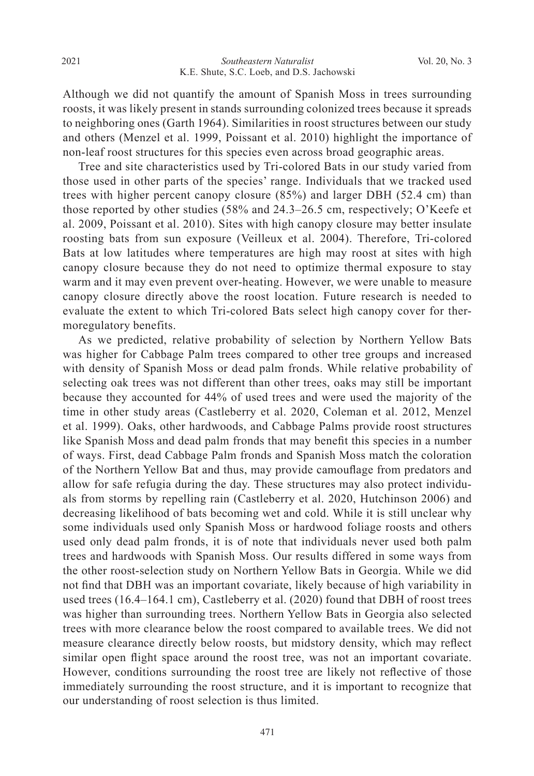Although we did not quantify the amount of Spanish Moss in trees surrounding roosts, it was likely present in stands surrounding colonized trees because it spreads to neighboring ones (Garth 1964). Similarities in roost structures between our study and others (Menzel et al. 1999, Poissant et al. 2010) highlight the importance of non-leaf roost structures for this species even across broad geographic areas.

 Tree and site characteristics used by Tri-colored Bats in our study varied from those used in other parts of the species' range. Individuals that we tracked used trees with higher percent canopy closure (85%) and larger DBH (52.4 cm) than those reported by other studies (58% and 24.3–26.5 cm, respectively; O'Keefe et al. 2009, Poissant et al. 2010). Sites with high canopy closure may better insulate roosting bats from sun exposure (Veilleux et al. 2004). Therefore, Tri-colored Bats at low latitudes where temperatures are high may roost at sites with high canopy closure because they do not need to optimize thermal exposure to stay warm and it may even prevent over-heating. However, we were unable to measure canopy closure directly above the roost location. Future research is needed to evaluate the extent to which Tri-colored Bats select high canopy cover for thermoregulatory benefits.

 As we predicted, relative probability of selection by Northern Yellow Bats was higher for Cabbage Palm trees compared to other tree groups and increased with density of Spanish Moss or dead palm fronds. While relative probability of selecting oak trees was not different than other trees, oaks may still be important because they accounted for 44% of used trees and were used the majority of the time in other study areas (Castleberry et al. 2020, Coleman et al. 2012, Menzel et al. 1999). Oaks, other hardwoods, and Cabbage Palms provide roost structures like Spanish Moss and dead palm fronds that may benefit this species in a number of ways. First, dead Cabbage Palm fronds and Spanish Moss match the coloration of the Northern Yellow Bat and thus, may provide camouflage from predators and allow for safe refugia during the day. These structures may also protect individuals from storms by repelling rain (Castleberry et al. 2020, Hutchinson 2006) and decreasing likelihood of bats becoming wet and cold. While it is still unclear why some individuals used only Spanish Moss or hardwood foliage roosts and others used only dead palm fronds, it is of note that individuals never used both palm trees and hardwoods with Spanish Moss. Our results differed in some ways from the other roost-selection study on Northern Yellow Bats in Georgia. While we did not find that DBH was an important covariate, likely because of high variability in used trees (16.4–164.1 cm), Castleberry et al. (2020) found that DBH of roost trees was higher than surrounding trees. Northern Yellow Bats in Georgia also selected trees with more clearance below the roost compared to available trees. We did not measure clearance directly below roosts, but midstory density, which may reflect similar open flight space around the roost tree, was not an important covariate. However, conditions surrounding the roost tree are likely not reflective of those immediately surrounding the roost structure, and it is important to recognize that our understanding of roost selection is thus limited.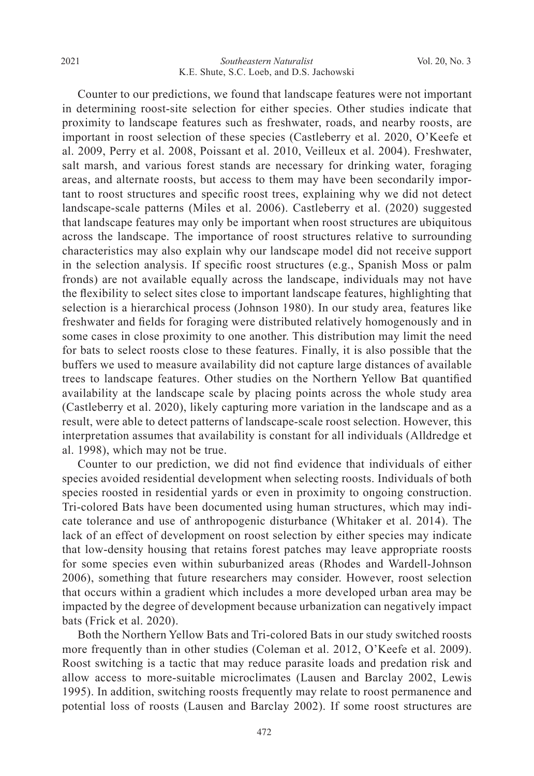Counter to our predictions, we found that landscape features were not important in determining roost-site selection for either species. Other studies indicate that proximity to landscape features such as freshwater, roads, and nearby roosts, are important in roost selection of these species (Castleberry et al. 2020, O'Keefe et al. 2009, Perry et al. 2008, Poissant et al. 2010, Veilleux et al. 2004). Freshwater, salt marsh, and various forest stands are necessary for drinking water, foraging areas, and alternate roosts, but access to them may have been secondarily important to roost structures and specific roost trees, explaining why we did not detect landscape-scale patterns (Miles et al. 2006). Castleberry et al. (2020) suggested that landscape features may only be important when roost structures are ubiquitous across the landscape. The importance of roost structures relative to surrounding characteristics may also explain why our landscape model did not receive support in the selection analysis. If specific roost structures (e.g., Spanish Moss or palm fronds) are not available equally across the landscape, individuals may not have the flexibility to select sites close to important landscape features, highlighting that selection is a hierarchical process (Johnson 1980). In our study area, features like freshwater and fields for foraging were distributed relatively homogenously and in some cases in close proximity to one another. This distribution may limit the need for bats to select roosts close to these features. Finally, it is also possible that the buffers we used to measure availability did not capture large distances of available trees to landscape features. Other studies on the Northern Yellow Bat quantified availability at the landscape scale by placing points across the whole study area (Castleberry et al. 2020), likely capturing more variation in the landscape and as a result, were able to detect patterns of landscape-scale roost selection. However, this interpretation assumes that availability is constant for all individuals (Alldredge et al. 1998), which may not be true.

 Counter to our prediction, we did not find evidence that individuals of either species avoided residential development when selecting roosts. Individuals of both species roosted in residential yards or even in proximity to ongoing construction. Tri-colored Bats have been documented using human structures, which may indicate tolerance and use of anthropogenic disturbance (Whitaker et al. 2014). The lack of an effect of development on roost selection by either species may indicate that low-density housing that retains forest patches may leave appropriate roosts for some species even within suburbanized areas (Rhodes and Wardell-Johnson 2006), something that future researchers may consider. However, roost selection that occurs within a gradient which includes a more developed urban area may be impacted by the degree of development because urbanization can negatively impact bats (Frick et al. 2020).

 Both the Northern Yellow Bats and Tri-colored Bats in our study switched roosts more frequently than in other studies (Coleman et al. 2012, O'Keefe et al. 2009). Roost switching is a tactic that may reduce parasite loads and predation risk and allow access to more-suitable microclimates (Lausen and Barclay 2002, Lewis 1995). In addition, switching roosts frequently may relate to roost permanence and potential loss of roosts (Lausen and Barclay 2002). If some roost structures are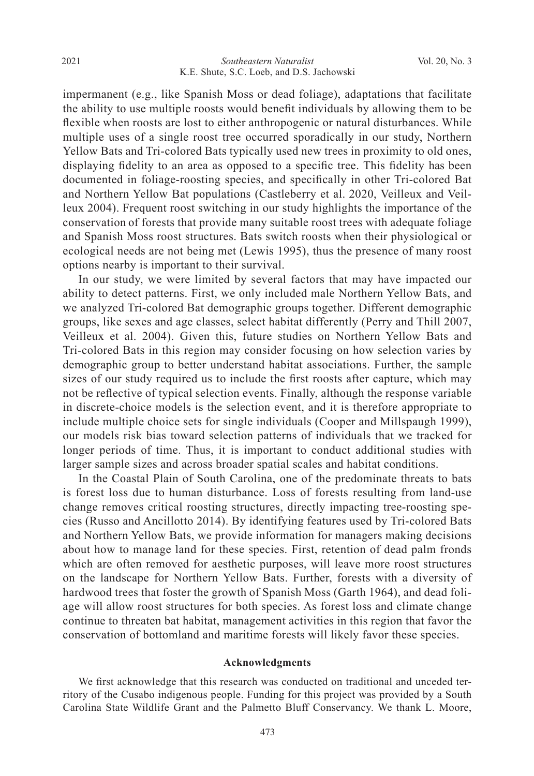impermanent (e.g., like Spanish Moss or dead foliage), adaptations that facilitate the ability to use multiple roosts would benefit individuals by allowing them to be flexible when roosts are lost to either anthropogenic or natural disturbances. While multiple uses of a single roost tree occurred sporadically in our study, Northern Yellow Bats and Tri-colored Bats typically used new trees in proximity to old ones, displaying fidelity to an area as opposed to a specific tree. This fidelity has been documented in foliage-roosting species, and specifically in other Tri-colored Bat and Northern Yellow Bat populations (Castleberry et al. 2020, Veilleux and Veilleux 2004). Frequent roost switching in our study highlights the importance of the conservation of forests that provide many suitable roost trees with adequate foliage and Spanish Moss roost structures. Bats switch roosts when their physiological or ecological needs are not being met (Lewis 1995), thus the presence of many roost options nearby is important to their survival.

 In our study, we were limited by several factors that may have impacted our ability to detect patterns. First, we only included male Northern Yellow Bats, and we analyzed Tri-colored Bat demographic groups together. Different demographic groups, like sexes and age classes, select habitat differently (Perry and Thill 2007, Veilleux et al. 2004). Given this, future studies on Northern Yellow Bats and Tri-colored Bats in this region may consider focusing on how selection varies by demographic group to better understand habitat associations. Further, the sample sizes of our study required us to include the first roosts after capture, which may not be reflective of typical selection events. Finally, although the response variable in discrete-choice models is the selection event, and it is therefore appropriate to include multiple choice sets for single individuals (Cooper and Millspaugh 1999), our models risk bias toward selection patterns of individuals that we tracked for longer periods of time. Thus, it is important to conduct additional studies with larger sample sizes and across broader spatial scales and habitat conditions.

 In the Coastal Plain of South Carolina, one of the predominate threats to bats is forest loss due to human disturbance. Loss of forests resulting from land-use change removes critical roosting structures, directly impacting tree-roosting species (Russo and Ancillotto 2014). By identifying features used by Tri-colored Bats and Northern Yellow Bats, we provide information for managers making decisions about how to manage land for these species. First, retention of dead palm fronds which are often removed for aesthetic purposes, will leave more roost structures on the landscape for Northern Yellow Bats. Further, forests with a diversity of hardwood trees that foster the growth of Spanish Moss (Garth 1964), and dead foliage will allow roost structures for both species. As forest loss and climate change continue to threaten bat habitat, management activities in this region that favor the conservation of bottomland and maritime forests will likely favor these species.

#### **Acknowledgments**

 We first acknowledge that this research was conducted on traditional and unceded territory of the Cusabo indigenous people. Funding for this project was provided by a South Carolina State Wildlife Grant and the Palmetto Bluff Conservancy. We thank L. Moore,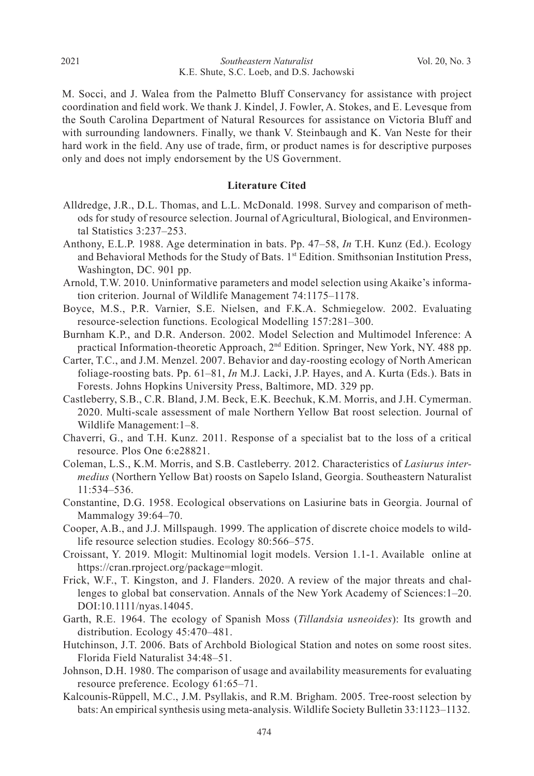M. Socci, and J. Walea from the Palmetto Bluff Conservancy for assistance with project coordination and field work. We thank J. Kindel, J. Fowler, A. Stokes, and E. Levesque from the South Carolina Department of Natural Resources for assistance on Victoria Bluff and with surrounding landowners. Finally, we thank V. Steinbaugh and K. Van Neste for their hard work in the field. Any use of trade, firm, or product names is for descriptive purposes only and does not imply endorsement by the US Government.

#### **Literature Cited**

- Alldredge, J.R., D.L. Thomas, and L.L. McDonald. 1998. Survey and comparison of methods for study of resource selection. Journal of Agricultural, Biological, and Environmental Statistics 3:237–253.
- Anthony, E.L.P. 1988. Age determination in bats. Pp. 47–58, *In* T.H. Kunz (Ed.). Ecology and Behavioral Methods for the Study of Bats. 1<sup>st</sup> Edition. Smithsonian Institution Press, Washington, DC. 901 pp.
- Arnold, T.W. 2010. Uninformative parameters and model selection using Akaike's information criterion. Journal of Wildlife Management 74:1175–1178.
- Boyce, M.S., P.R. Varnier, S.E. Nielsen, and F.K.A. Schmiegelow. 2002. Evaluating resource-selection functions. Ecological Modelling 157:281–300.
- Burnham K.P., and D.R. Anderson. 2002. Model Selection and Multimodel Inference: A practical Information-theoretic Approach,  $2<sup>nd</sup>$  Edition. Springer, New York, NY. 488 pp.
- Carter, T.C., and J.M. Menzel. 2007. Behavior and day-roosting ecology of North American foliage-roosting bats. Pp. 61–81, *In* M.J. Lacki, J.P. Hayes, and A. Kurta (Eds.). Bats in Forests. Johns Hopkins University Press, Baltimore, MD. 329 pp.
- Castleberry, S.B., C.R. Bland, J.M. Beck, E.K. Beechuk, K.M. Morris, and J.H. Cymerman. 2020. Multi-scale assessment of male Northern Yellow Bat roost selection. Journal of Wildlife Management:1–8.
- Chaverri, G., and T.H. Kunz. 2011. Response of a specialist bat to the loss of a critical resource. Plos One 6:e28821.
- Coleman, L.S., K.M. Morris, and S.B. Castleberry. 2012. Characteristics of *Lasiurus intermedius* (Northern Yellow Bat) roosts on Sapelo Island, Georgia. Southeastern Naturalist 11:534–536.
- Constantine, D.G. 1958. Ecological observations on Lasiurine bats in Georgia. Journal of Mammalogy 39:64–70.
- Cooper, A.B., and J.J. Millspaugh. 1999. The application of discrete choice models to wildlife resource selection studies. Ecology 80:566–575.
- Croissant, Y. 2019. Mlogit: Multinomial logit models. Version 1.1-1. Available online at https://cran.rproject.org/package=mlogit.
- Frick, W.F., T. Kingston, and J. Flanders. 2020. A review of the major threats and challenges to global bat conservation. Annals of the New York Academy of Sciences:1–20. DOI:10.1111/nyas.14045.
- Garth, R.E. 1964. The ecology of Spanish Moss (*Tillandsia usneoides*): Its growth and distribution. Ecology 45:470–481.
- Hutchinson, J.T. 2006. Bats of Archbold Biological Station and notes on some roost sites. Florida Field Naturalist 34:48–51.
- Johnson, D.H. 1980. The comparison of usage and availability measurements for evaluating resource preference. Ecology 61:65–71.
- Kalcounis-Rüppell, M.C., J.M. Psyllakis, and R.M. Brigham. 2005. Tree-roost selection by bats: An empirical synthesis using meta-analysis. Wildlife Society Bulletin 33:1123–1132.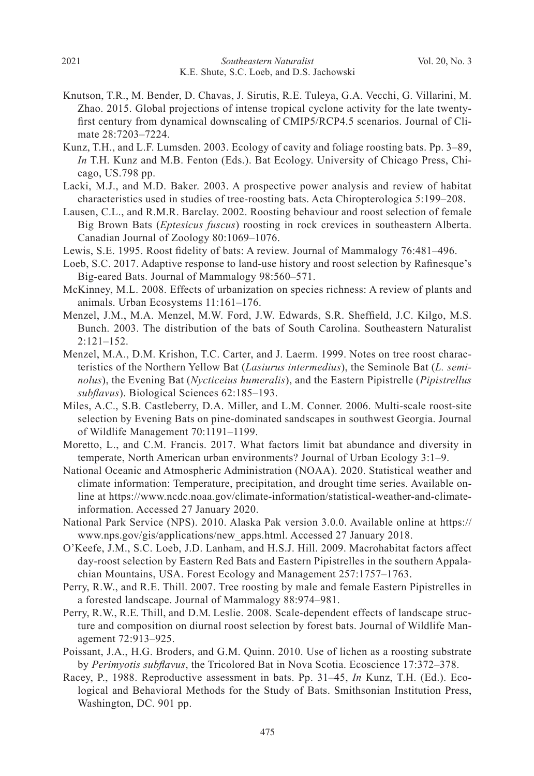- Knutson, T.R., M. Bender, D. Chavas, J. Sirutis, R.E. Tuleya, G.A. Vecchi, G. Villarini, M. Zhao. 2015. Global projections of intense tropical cyclone activity for the late twentyfirst century from dynamical downscaling of CMIP5/RCP4.5 scenarios. Journal of Climate 28:7203–7224.
- Kunz, T.H., and L.F. Lumsden. 2003. Ecology of cavity and foliage roosting bats. Pp. 3–89, *In* T.H. Kunz and M.B. Fenton (Eds.). Bat Ecology. University of Chicago Press, Chicago, US.798 pp.
- Lacki, M.J., and M.D. Baker. 2003. A prospective power analysis and review of habitat characteristics used in studies of tree-roosting bats. Acta Chiropterologica 5:199–208.
- Lausen, C.L., and R.M.R. Barclay. 2002. Roosting behaviour and roost selection of female Big Brown Bats (*Eptesicus fuscus*) roosting in rock crevices in southeastern Alberta. Canadian Journal of Zoology 80:1069–1076.
- Lewis, S.E. 1995. Roost fidelity of bats: A review. Journal of Mammalogy 76:481–496.
- Loeb, S.C. 2017. Adaptive response to land-use history and roost selection by Rafinesque's Big-eared Bats. Journal of Mammalogy 98:560–571.
- McKinney, M.L. 2008. Effects of urbanization on species richness: A review of plants and animals. Urban Ecosystems 11:161–176.
- Menzel, J.M., M.A. Menzel, M.W. Ford, J.W. Edwards, S.R. Sheffield, J.C. Kilgo, M.S. Bunch. 2003. The distribution of the bats of South Carolina. Southeastern Naturalist 2:121–152.
- Menzel, M.A., D.M. Krishon, T.C. Carter, and J. Laerm. 1999. Notes on tree roost characteristics of the Northern Yellow Bat (*Lasiurus intermedius*), the Seminole Bat (*L. seminolus*), the Evening Bat (*Nycticeius humeralis*), and the Eastern Pipistrelle (*Pipistrellus subflavus*). Biological Sciences 62:185–193.
- Miles, A.C., S.B. Castleberry, D.A. Miller, and L.M. Conner. 2006. Multi-scale roost-site selection by Evening Bats on pine-dominated sandscapes in southwest Georgia. Journal of Wildlife Management 70:1191–1199.
- Moretto, L., and C.M. Francis. 2017. What factors limit bat abundance and diversity in temperate, North American urban environments? Journal of Urban Ecology 3:1–9.
- National Oceanic and Atmospheric Administration (NOAA). 2020. Statistical weather and climate information: Temperature, precipitation, and drought time series. Available online at https://www.ncdc.noaa.gov/climate-information/statistical-weather-and-climateinformation. Accessed 27 January 2020.
- National Park Service (NPS). 2010. Alaska Pak version 3.0.0. Available online at https:// www.nps.gov/gis/applications/new\_apps.html. Accessed 27 January 2018.
- O'Keefe, J.M., S.C. Loeb, J.D. Lanham, and H.S.J. Hill. 2009. Macrohabitat factors affect day-roost selection by Eastern Red Bats and Eastern Pipistrelles in the southern Appalachian Mountains, USA. Forest Ecology and Management 257:1757–1763.
- Perry, R.W., and R.E. Thill. 2007. Tree roosting by male and female Eastern Pipistrelles in a forested landscape. Journal of Mammalogy 88:974–981.
- Perry, R.W., R.E. Thill, and D.M. Leslie. 2008. Scale-dependent effects of landscape structure and composition on diurnal roost selection by forest bats. Journal of Wildlife Management 72:913–925.
- Poissant, J.A., H.G. Broders, and G.M. Quinn. 2010. Use of lichen as a roosting substrate by *Perimyotis subflavus*, the Tricolored Bat in Nova Scotia. Ecoscience 17:372–378.
- Racey, P., 1988. Reproductive assessment in bats. Pp. 31–45, *In* Kunz, T.H. (Ed.). Ecological and Behavioral Methods for the Study of Bats. Smithsonian Institution Press, Washington, DC. 901 pp.